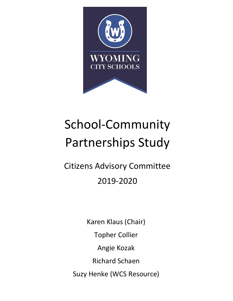

# School-Community Partnerships Study

# Citizens Advisory Committee 2019-2020

Karen Klaus (Chair) Topher Collier Angie Kozak Richard Schaen Suzy Henke (WCS Resource)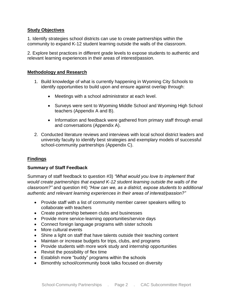#### **Study Objectives**

1. Identify strategies school districts can use to create partnerships within the community to expand K-12 student learning outside the walls of the classroom.

2. Explore best practices in different grade levels to expose students to authentic and relevant learning experiences in their areas of interest/passion.

#### **Methodology and Research**

- 1. Build knowledge of what is currently happening in Wyoming City Schools to identify opportunities to build upon and ensure against overlap through:
	- Meetings with a school administrator at each level.
	- Surveys were sent to Wyoming Middle School and Wyoming High School teachers (Appendix A and B).
	- Information and feedback were gathered from primary staff through email and conversations (Appendix A).
- 2. Conducted literature reviews and interviews with local school district leaders and university faculty to identify best strategies and exemplary models of successful school-community partnerships (Appendix C).

# **Findings**

#### **Summary of Staff Feedback**

Summary of staff feedback to question #3) *"What would you love to implement that would create partnerships that expand K-12 student learning outside the walls of the classroom?"* and question #4) *"How can we, as a district, expose students to additional authentic and relevant learning experiences in their areas of interest/passion?"*

- Provide staff with a list of community member career speakers willing to collaborate with teachers
- Create partnership between clubs and businesses
- Provide more service-learning opportunities/service days
- Connect foreign language programs with sister schools
- More cultural events
- Shine a light on staff that have talents outside their teaching content
- Maintain or increase budgets for trips, clubs, and programs
- Provide students with more work study and internship opportunities
- Revisit the possibility of flex time
- Establish more "buddy" programs within the schools
- Bimonthly school/community book talks focused on diversity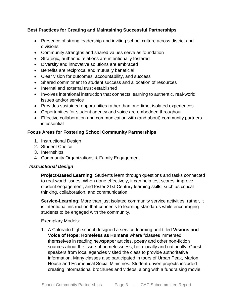# **Best Practices for Creating and Maintaining Successful Partnerships**

- Presence of strong leadership and inviting school culture across district and divisions
- Community strengths and shared values serve as foundation
- Strategic, authentic relations are intentionally fostered
- Diversity and innovative solutions are embraced
- Benefits are reciprocal and mutually beneficial
- Clear vision for outcomes, accountability, and success
- Shared commitment to student success and allocation of resources
- Internal and external trust established
- Involves intentional instruction that connects learning to authentic, real-world issues and/or service
- Provides sustained opportunities rather than one-time, isolated experiences
- Opportunities for student agency and voice are embedded throughout
- Effective collaboration and communication with (and about) community partners is essential

#### **Focus Areas for Fostering School Community Partnerships**

- 1. Instructional Design
- 2. Student Choice
- 3. Internships
- 4. Community Organizations & Family Engagement

#### *Instructional Design*

**Project-Based Learning**: Students learn through questions and tasks connected to real-world issues. When done effectively, it can help test scores, improve student engagement, and foster 21st Century learning skills, such as critical thinking, collaboration, and communication.

**Service-Learning**: More than just isolated community service activities; rather, it is intentional instruction that connects to learning standards while encouraging students to be engaged with the community.

#### Exemplary Models:

1. A Colorado high school designed a service-learning unit titled **Visions and Voice of Hope: Homeless as Humans** where "classes immersed themselves in reading newspaper articles, poetry and other non-fiction sources about the issue of homelessness, both locally and nationally. Guest speakers from local agencies visited the class to provide authoritative information. Many classes also participated in tours of Urban Peak, Marion House and Ecumenical Social Ministries. Student-driven projects included creating informational brochures and videos, along with a fundraising movie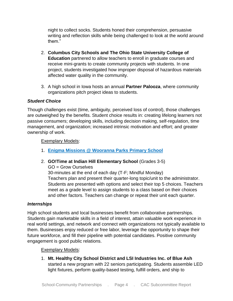night to collect socks. Students honed their comprehension, persuasive writing and reflection skills while being challenged to look at the world around them."

- 2. **Columbus City Schools and The Ohio State University College of Education** partnered to allow teachers to enroll in graduate courses and receive mini-grants to create community projects with students. In one project, students investigated how improper disposal of hazardous materials affected water quality in the community.
- 3. A high school in Iowa hosts an annual **Partner Palooza**, where community organizations pitch project ideas to students.

# *Student Choice*

Though challenges exist (time, ambiguity, perceived loss of control), those challenges are outweighed by the benefits. Student choice results in: creating lifelong learners not passive consumers; developing skills, including decision making, self-regulation, time management, and organization; increased intrinsic motivation and effort; and greater ownership of work.

# Exemplary Models:

- 1. **[Enigma Missions @ Wooranna Parks Primary School](https://www.youtube.com/watch?v=Fa8-Ll0__Gk&feature=youtu.be)**
- 2. **GO!Time at Indian Hill Elementary School** (Grades 3-5)

GO = Grow Ourselves 30-minutes at the end of each day (T-F; Mindful Monday) Teachers plan and present their quarter-long topic/unit to the administrator. Students are presented with options and select their top 5 choices. Teachers meet as a grade level to assign students to a class based on their choices and other factors. Teachers can change or repeat their unit each quarter.

# *Internships*

High school students and local businesses benefit from collaborative partnerships. Students gain marketable skills in a field of interest, attain valuable work experience in real world settings, and network and connect with organizations not typically available to them. Businesses enjoy reduced or free labor, leverage the opportunity to shape their future workforce, and fill their pipeline with potential candidates. Positive community engagement is good public relations.

# Exemplary Models:

1. **Mt. Healthy City School District and LSI Industries Inc. of Blue Ash** started a new program with 22 seniors participating. Students assemble LED light fixtures, perform quality-based testing, fulfill orders, and ship to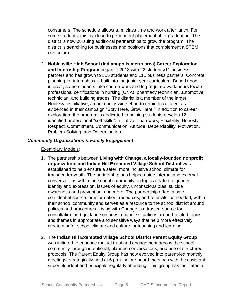consumers. The schedule allows a.m. class time and work after lunch. For some students, this can lead to permanent placement after graduation. The district is now pursuing additional partnerships to grow the program. The district is searching for businesses and positions that complement a STEM curriculum.

2. **Noblesville High School (Indianapolis metro area) Career Exploration and Internship Program** began in 2013 with 22 students/11 business partners and has grown to 325 students and 111 business partners. Concrete planning for internships is built into the junior year curriculum. Based upon interest, some students take course work and log required work hours toward professional certifications in nursing (CNA), pharmacy technician, automotive technician, and building trades. The district is a member of the larger Noblesville initiative, a community-wide effort to retain local talent as evidenced in their campaign "Stay Here, Grow Here." In addition to career exploration, the program is dedicated to helping students develop 12 identified professional "soft skills": Initiative, Teamwork, Flexibility, Honesty, Respect, Commitment, Communication, Attitude, Dependability, Motivation, Problem Solving, and Determination.

# *Community Organizations & Family Engagement*

#### Exemplary Models:

- 1. The partnership between **Living with Change, a locally-founded nonprofit organization, and Indian Hill Exempted Village School District** was established to help ensure a safer, more inclusive school climate for transgender youth. The partnership has helped guide internal and external conversations within the school community on topics related to gender identity and expression, issues of equity, unconscious bias, suicide awareness and prevention, and more. The partnership offers a safe, confidential source for information, resources, and referrals, as needed, within their school community and serves as a resource to the school district around policies and procedures. Living with Change is a trusted source for consultation and guidance on how to handle situations around related topics and themes in appropriate and sensitive ways that help more effectively create a safer school climate and culture for teaching and learning.
- 2. The **Indian Hill Exempted Village School District Parent Equity Group** was initiated to enhance mutual trust and engagement across the school community through intentional, planned conversations, and use of structured protocols. The Parent Equity Group has now evolved into parent-led monthly meetings, strategically held at 6 p.m. before board meetings with the assistant superintendent and principals regularly attending. This group has facilitated a